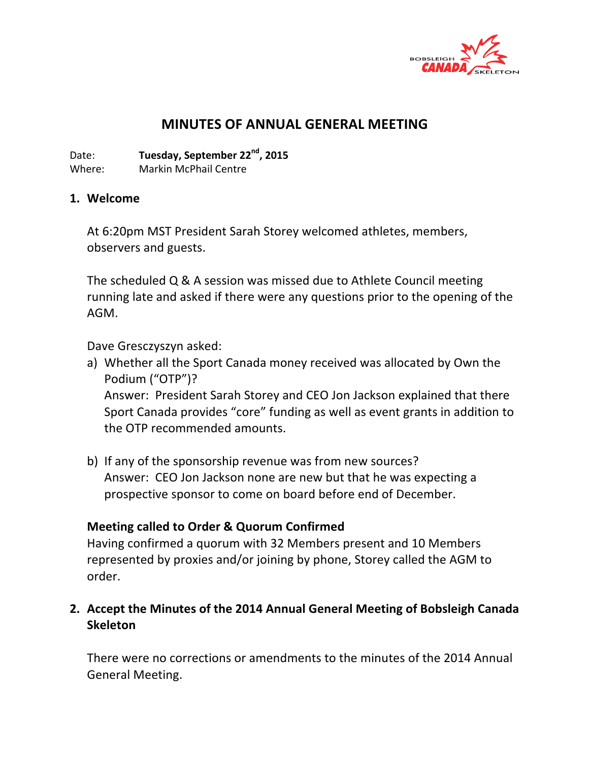

# **MINUTES OF ANNUAL GENERAL MEETING**

Date: **Tuesday, September 22<sup>nd</sup>, 2015** Where: Markin McPhail Centre

#### **1. Welcome**

At 6:20pm MST President Sarah Storey welcomed athletes, members, observers and guests.

The scheduled  $Q & A$  session was missed due to Athlete Council meeting running late and asked if there were any questions prior to the opening of the AGM. 

Dave Gresczyszyn asked:

- a) Whether all the Sport Canada money received was allocated by Own the Podium ("OTP")? Answer: President Sarah Storey and CEO Jon Jackson explained that there Sport Canada provides "core" funding as well as event grants in addition to the OTP recommended amounts.
- b) If any of the sponsorship revenue was from new sources? Answer: CEO Jon Jackson none are new but that he was expecting a prospective sponsor to come on board before end of December.

## **Meeting called to Order & Quorum Confirmed**

Having confirmed a quorum with 32 Members present and 10 Members represented by proxies and/or joining by phone, Storey called the AGM to order. 

## **2. Accept the Minutes of the 2014 Annual General Meeting of Bobsleigh Canada Skeleton**

There were no corrections or amendments to the minutes of the 2014 Annual General Meeting.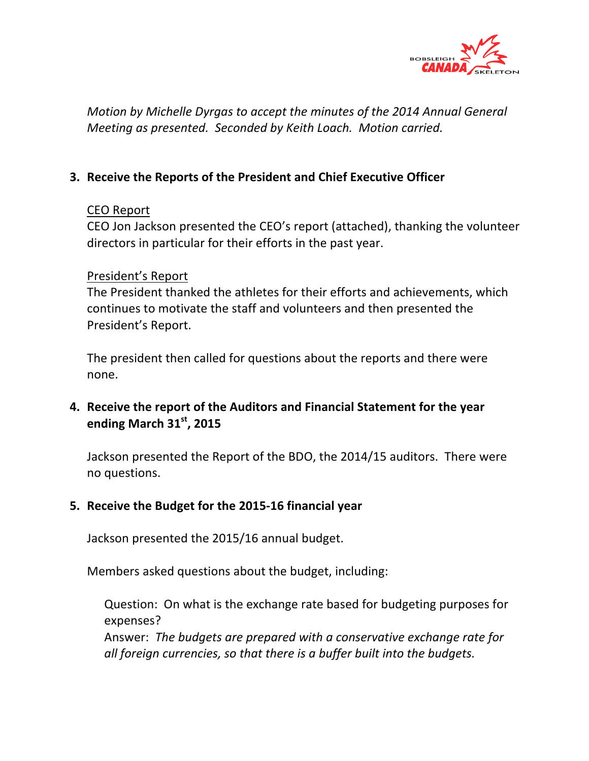

*Motion by Michelle Dyrgas to accept the minutes of the 2014 Annual General Meeting as presented. Seconded by Keith Loach. Motion carried.* 

## **3. Receive the Reports of the President and Chief Executive Officer**

### CEO Report

CEO Jon Jackson presented the CEO's report (attached), thanking the volunteer directors in particular for their efforts in the past year.

### President's Report

The President thanked the athletes for their efforts and achievements, which continues to motivate the staff and volunteers and then presented the President's Report.

The president then called for questions about the reports and there were none. 

## **4.** Receive the report of the Auditors and Financial Statement for the year **ending March 31st, 2015**

Jackson presented the Report of the BDO, the 2014/15 auditors. There were no questions. 

## **5. Receive the Budget for the 2015-16 financial year**

Jackson presented the 2015/16 annual budget.

Members asked questions about the budget, including:

Question: On what is the exchange rate based for budgeting purposes for expenses? 

Answer: The budgets are prepared with a conservative exchange rate for all foreign currencies, so that there is a buffer built into the budgets.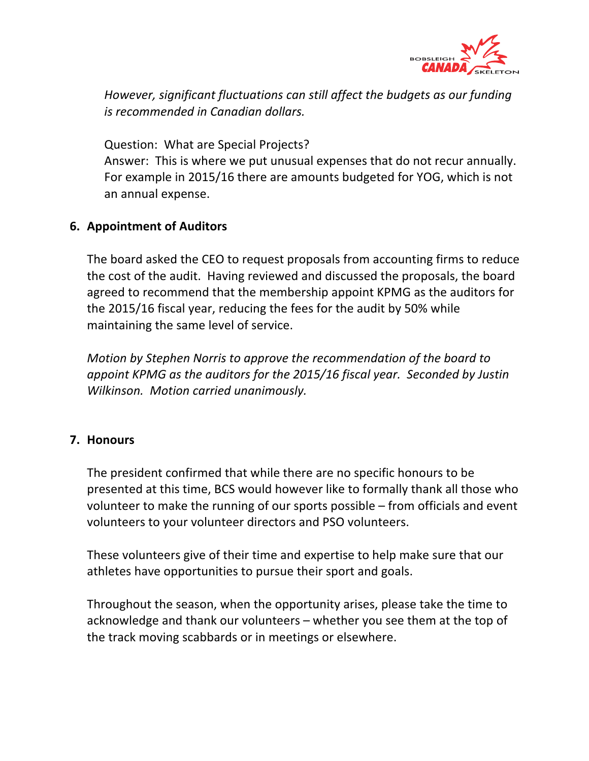

*However, significant fluctuations can still affect the budgets as our funding is recommended in Canadian dollars.* 

Question: What are Special Projects?

Answer: This is where we put unusual expenses that do not recur annually. For example in 2015/16 there are amounts budgeted for YOG, which is not an annual expense.

## **6. Appointment of Auditors**

The board asked the CEO to request proposals from accounting firms to reduce the cost of the audit. Having reviewed and discussed the proposals, the board agreed to recommend that the membership appoint KPMG as the auditors for the 2015/16 fiscal year, reducing the fees for the audit by 50% while maintaining the same level of service.

*Motion by Stephen Norris to approve the recommendation of the board to* appoint KPMG as the auditors for the 2015/16 fiscal year. Seconded by Justin *Wilkinson.* Motion carried unanimously.

## **7. Honours**

The president confirmed that while there are no specific honours to be presented at this time, BCS would however like to formally thank all those who volunteer to make the running of our sports possible  $-$  from officials and event volunteers to your volunteer directors and PSO volunteers.

These volunteers give of their time and expertise to help make sure that our athletes have opportunities to pursue their sport and goals.

Throughout the season, when the opportunity arises, please take the time to acknowledge and thank our volunteers – whether you see them at the top of the track moving scabbards or in meetings or elsewhere.